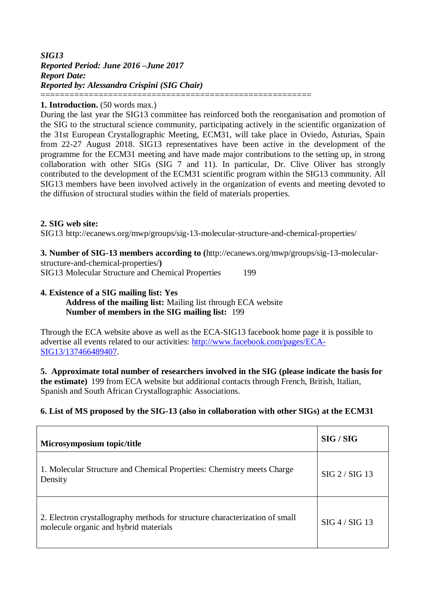## *SIG13 Reported Period: June 2016 –June 2017 Report Date: Reported by: Alessandra Crispini (SIG Chair)* ========================================================

### **1. Introduction.** (50 words max.)

During the last year the SIG13 committee has reinforced both the reorganisation and promotion of the SIG to the structural science community, participating actively in the scientific organization of the 31st European Crystallographic Meeting, ECM31, will take place in Oviedo, Asturias, Spain from 22-27 August 2018. SIG13 representatives have been active in the development of the programme for the ECM31 meeting and have made major contributions to the setting up, in strong collaboration with other SIGs (SIG 7 and 11). In particular, Dr. Clive Oliver has strongly contributed to the development of the ECM31 scientific program within the SIG13 community. All SIG13 members have been involved actively in the organization of events and meeting devoted to the diffusion of structural studies within the field of materials properties.

### **2. SIG web site:**

SIG13 http://ecanews.org/mwp/groups/sig-13-molecular-structure-and-chemical-properties/

**3. Number of SIG-13 members according to (**http://ecanews.org/mwp/groups/sig-13-molecularstructure-and-chemical-properties/**)**

SIG13 Molecular Structure and Chemical Properties 199

## **4. Existence of a SIG mailing list: Yes**

**Address of the mailing list:** Mailing list through ECA website **Number of members in the SIG mailing list:** 199

Through the ECA website above as well as the ECA-SIG13 facebook home page it is possible to advertise all events related to our activities: [http://www.facebook.com/pages/ECA-](http://www.facebook.com/pages/ECA-SIG13/137466489407)[SIG13/137466489407.](http://www.facebook.com/pages/ECA-SIG13/137466489407)

**5. Approximate total number of researchers involved in the SIG (please indicate the basis for the estimate)** 199 from ECA website but additional contacts through French, British, Italian, Spanish and South African Crystallographic Associations.

## **6. List of MS proposed by the SIG-13 (also in collaboration with other SIGs) at the ECM31**

| Microsymposium topic/title                                                                                           | SIG / SIG      |  |
|----------------------------------------------------------------------------------------------------------------------|----------------|--|
| 1. Molecular Structure and Chemical Properties: Chemistry meets Charge<br>Density                                    | SIG 2 / SIG 13 |  |
| 2. Electron crystallography methods for structure characterization of small<br>molecule organic and hybrid materials | SIG 4 / SIG 13 |  |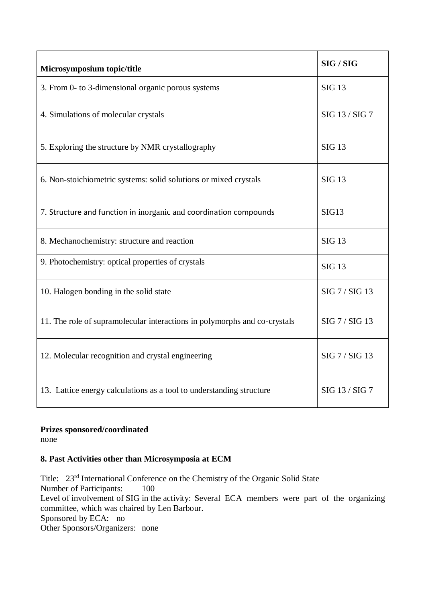| Microsymposium topic/title                                                | SIG / SIG      |
|---------------------------------------------------------------------------|----------------|
| 3. From 0- to 3-dimensional organic porous systems                        | <b>SIG 13</b>  |
| 4. Simulations of molecular crystals                                      | SIG 13 / SIG 7 |
| 5. Exploring the structure by NMR crystallography                         | <b>SIG 13</b>  |
| 6. Non-stoichiometric systems: solid solutions or mixed crystals          | <b>SIG 13</b>  |
| 7. Structure and function in inorganic and coordination compounds         | SIG13          |
| 8. Mechanochemistry: structure and reaction                               | <b>SIG 13</b>  |
| 9. Photochemistry: optical properties of crystals                         | <b>SIG 13</b>  |
| 10. Halogen bonding in the solid state                                    | SIG 7 / SIG 13 |
| 11. The role of supramolecular interactions in polymorphs and co-crystals | SIG 7 / SIG 13 |
| 12. Molecular recognition and crystal engineering                         | SIG 7 / SIG 13 |
| 13. Lattice energy calculations as a tool to understanding structure      | SIG 13 / SIG 7 |

## **Prizes sponsored/coordinated**

none

# **8. Past Activities other than Microsymposia at ECM**

Title: 23rd International Conference on the Chemistry of the Organic Solid State Number of Participants: 100 Level of involvement of SIG in the activity: Several ECA members were part of the organizing committee, which was chaired by Len Barbour. Sponsored by ECA: no Other Sponsors/Organizers: none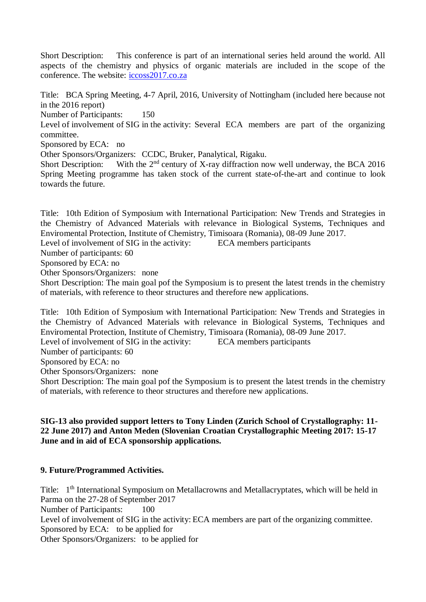Short Description: This conference is part of an international series held around the world. All aspects of the chemistry and physics of organic materials are included in the scope of the conference. The website: [iccoss2017.co.za](http://iccoss2017.co.za/)

Title: BCA Spring Meeting, 4-7 April, 2016, University of Nottingham (included here because not in the 2016 report)

Number of Participants: 150

Level of involvement of SIG in the activity: Several ECA members are part of the organizing committee.

Sponsored by ECA: no

Other Sponsors/Organizers: CCDC, Bruker, Panalytical, Rigaku.

Short Description: With the  $2<sup>nd</sup>$  century of X-ray diffraction now well underway, the BCA 2016 Spring Meeting programme has taken stock of the current state-of-the-art and continue to look towards the future.

Title: 10th Edition of Symposium with International Participation: New Trends and Strategies in the Chemistry of Advanced Materials with relevance in Biological Systems, Techniques and Enviromental Protection, Institute of Chemistry, Timisoara (Romania), 08-09 June 2017.

Level of involvement of SIG in the activity: ECA members participants

Number of participants: 60

Sponsored by ECA: no

Other Sponsors/Organizers: none

Short Description: The main goal pof the Symposium is to present the latest trends in the chemistry of materials, with reference to theor structures and therefore new applications.

Title: 10th Edition of Symposium with International Participation: New Trends and Strategies in the Chemistry of Advanced Materials with relevance in Biological Systems, Techniques and Enviromental Protection, Institute of Chemistry, Timisoara (Romania), 08-09 June 2017. Level of involvement of SIG in the activity: ECA members participants Number of participants: 60 Sponsored by ECA: no Other Sponsors/Organizers: none

Short Description: The main goal pof the Symposium is to present the latest trends in the chemistry of materials, with reference to theor structures and therefore new applications.

#### **SIG-13 also provided support letters to Tony Linden (Zurich School of Crystallography: 11- 22 June 2017) and Anton Meden (Slovenian Croatian Crystallographic Meeting 2017: 15-17 June and in aid of ECA sponsorship applications.**

## **9. Future/Programmed Activities.**

Title: 1<sup>th</sup> International Symposium on Metallacrowns and Metallacryptates, which will be held in Parma on the 27-28 of September 2017 Number of Participants: 100 Level of involvement of SIG in the activity: ECA members are part of the organizing committee. Sponsored by ECA: to be applied for Other Sponsors/Organizers: to be applied for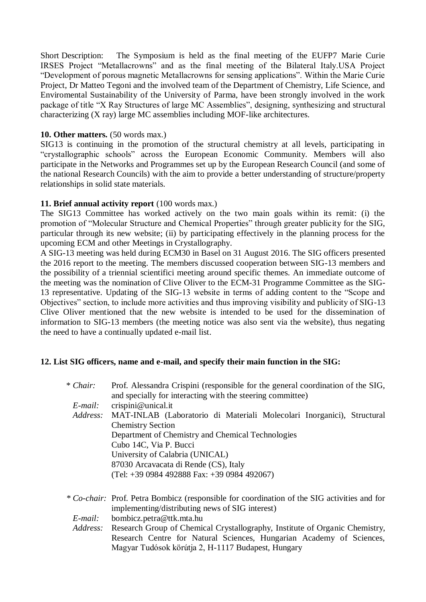Short Description: The Symposium is held as the final meeting of the EUFP7 Marie Curie IRSES Project "Metallacrowns" and as the final meeting of the Bilateral Italy.USA Project "Development of porous magnetic Metallacrowns for sensing applications". Within the Marie Curie Project, Dr Matteo Tegoni and the involved team of the Department of Chemistry, Life Science, and Enviromental Sustainability of the University of Parma, have been strongly involved in the work package of title "X Ray Structures of large MC Assemblies", designing, synthesizing and structural characterizing (X ray) large MC assemblies including MOF-like architectures.

## **10. Other matters.** (50 words max.)

SIG13 is continuing in the promotion of the structural chemistry at all levels, participating in "crystallographic schools" across the European Economic Community. Members will also participate in the Networks and Programmes set up by the European Research Council (and some of the national Research Councils) with the aim to provide a better understanding of structure/property relationships in solid state materials.

### **11. Brief annual activity report** (100 words max.)

The SIG13 Committee has worked actively on the two main goals within its remit: (i) the promotion of "Molecular Structure and Chemical Properties" through greater publicity for the SIG, particular through its new website; (ii) by participating effectively in the planning process for the upcoming ECM and other Meetings in Crystallography.

A SIG-13 meeting was held during ECM30 in Basel on 31 August 2016. The SIG officers presented the 2016 report to the meeting. The members discussed cooperation between SIG-13 members and the possibility of a triennial scientifici meeting around specific themes. An immediate outcome of the meeting was the nomination of Clive Oliver to the ECM-31 Programme Committee as the SIG-13 representative. Updating of the SIG-13 website in terms of adding content to the "Scope and Objectives" section, to include more activities and thus improving visibility and publicity of SIG-13 Clive Oliver mentioned that the new website is intended to be used for the dissemination of information to SIG-13 members (the meeting notice was also sent via the website), thus negating the need to have a continually updated e-mail list.

#### **12. List SIG officers, name and e-mail, and specify their main function in the SIG:**

| * Chair: | Prof. Alessandra Crispini (responsible for the general coordination of the SIG,<br>and specially for interacting with the steering committee)  |
|----------|------------------------------------------------------------------------------------------------------------------------------------------------|
| E-mail:  | crispini@unical.it                                                                                                                             |
| Address: | MAT-INLAB (Laboratorio di Materiali Molecolari Inorganici), Structural                                                                         |
|          | <b>Chemistry Section</b>                                                                                                                       |
|          | Department of Chemistry and Chemical Technologies                                                                                              |
|          | Cubo 14C, Via P. Bucci                                                                                                                         |
|          | University of Calabria (UNICAL)                                                                                                                |
|          | 87030 Arcavacata di Rende (CS), Italy                                                                                                          |
|          | (Tel: +39 0984 492888 Fax: +39 0984 492067)                                                                                                    |
|          | * Co-chair: Prof. Petra Bombicz (responsible for coordination of the SIG activities and for<br>implementing/distributing news of SIG interest) |
| E-mail:  | bombicz.petra@ttk.mta.hu                                                                                                                       |
| Address: | Research Group of Chemical Crystallography, Institute of Organic Chemistry,                                                                    |
|          | Research Centre for Natural Sciences, Hungarian Academy of Sciences,                                                                           |
|          | Magyar Tudósok körútja 2, H-1117 Budapest, Hungary                                                                                             |
|          |                                                                                                                                                |